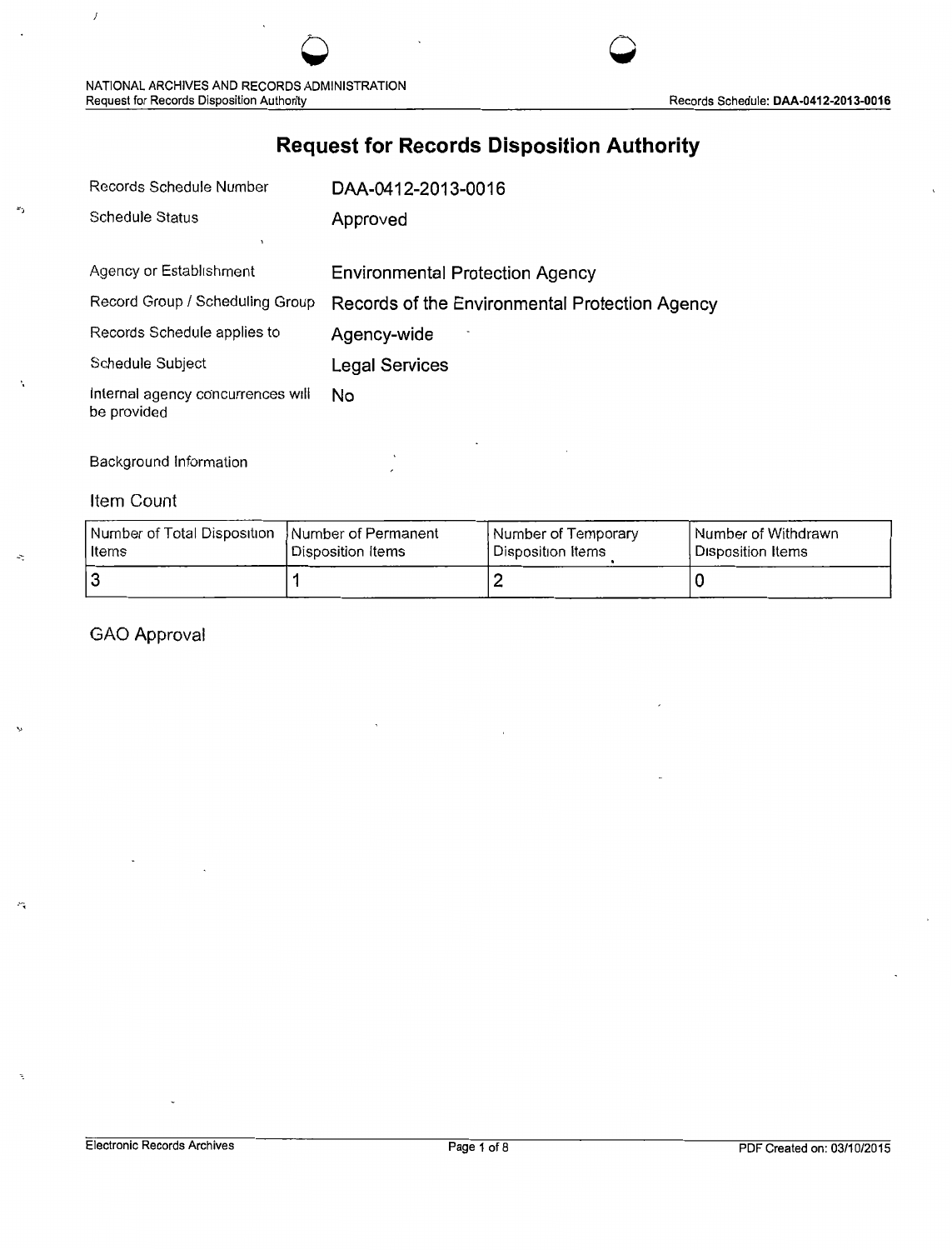

# **Request for Records Disposition Authority**

**0 0** 

| Records Schedule Number                          | DAA-0412-2013-0016                             |
|--------------------------------------------------|------------------------------------------------|
| Schedule Status                                  | Approved                                       |
|                                                  |                                                |
| Agency or Establishment                          | <b>Environmental Protection Agency</b>         |
| Record Group / Scheduling Group                  | Records of the Environmental Protection Agency |
| Records Schedule applies to                      | Agency-wide                                    |
| Schedule Subject                                 | Legal Services                                 |
| Internal agency concurrences will<br>be provided | No                                             |

### Background Information

### Item Count

 $\boldsymbol{J}$ 

r,

Ň

 $\mathcal{L}$ 

| Number of Total Disposition   Number of Permanent | Disposition Items | Number of Temporary | Number of Withdrawn |
|---------------------------------------------------|-------------------|---------------------|---------------------|
| ⊺ltems                                            |                   | l Disposition Items | Disposition Items   |
|                                                   |                   | <u>.</u>            |                     |

### GAO Approval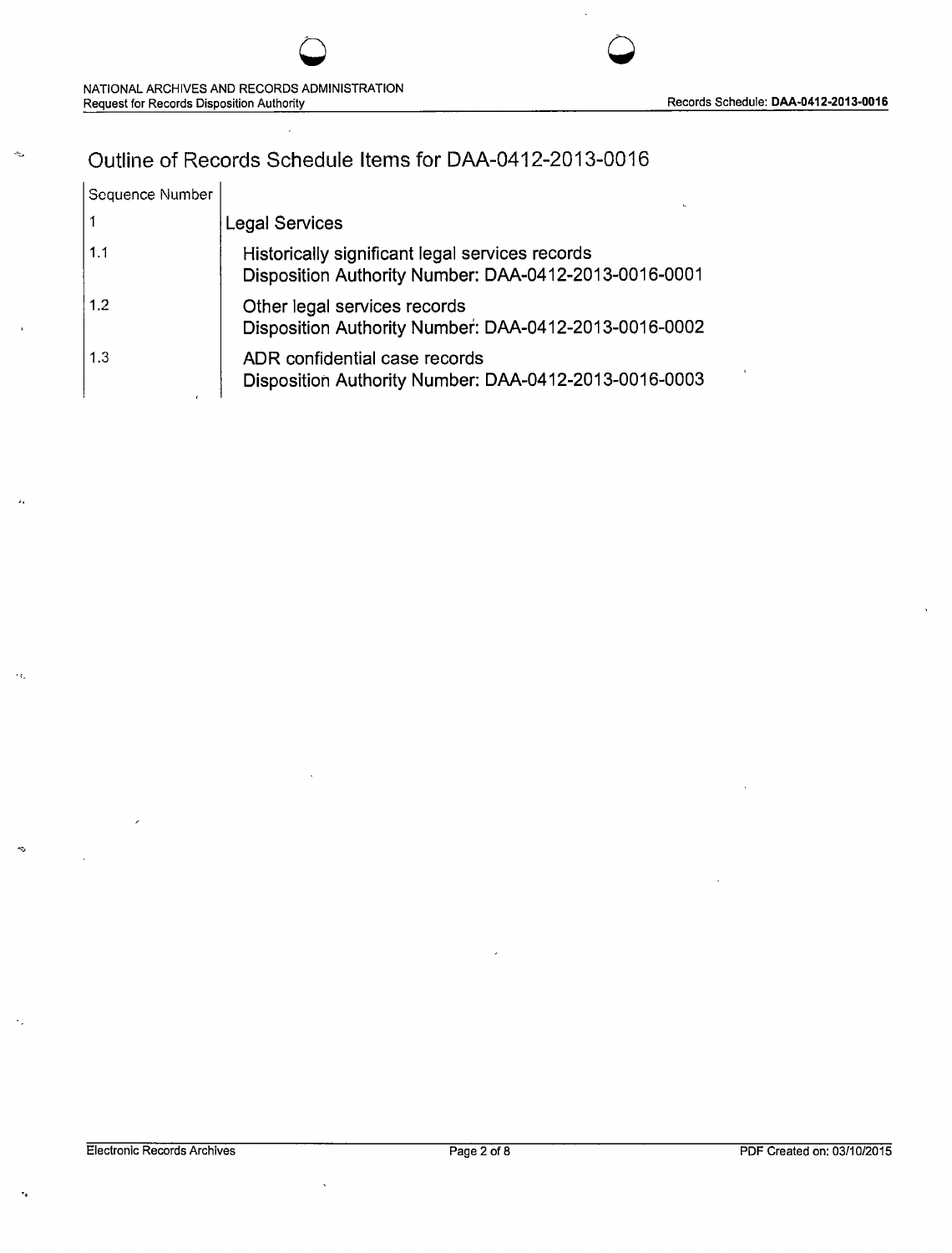# Outline of Records Schedule Items for DM-0412-2013-0016

| Sequence Number |                                                                                                          |
|-----------------|----------------------------------------------------------------------------------------------------------|
| 1               | <b>Legal Services</b>                                                                                    |
| 1.1             | Historically significant legal services records<br>Disposition Authority Number: DAA-0412-2013-0016-0001 |
| 1.2             | Other legal services records<br>Disposition Authority Number: DAA-0412-2013-0016-0002                    |
| 1.3             | ADR confidential case records<br>Disposition Authority Number: DAA-0412-2013-0016-0003                   |

..

 $\sim$ 

ä,

 $\epsilon_{\rm E}$ 

 $\mathbf{q}_j$ 

 $\mathcal{L}_1$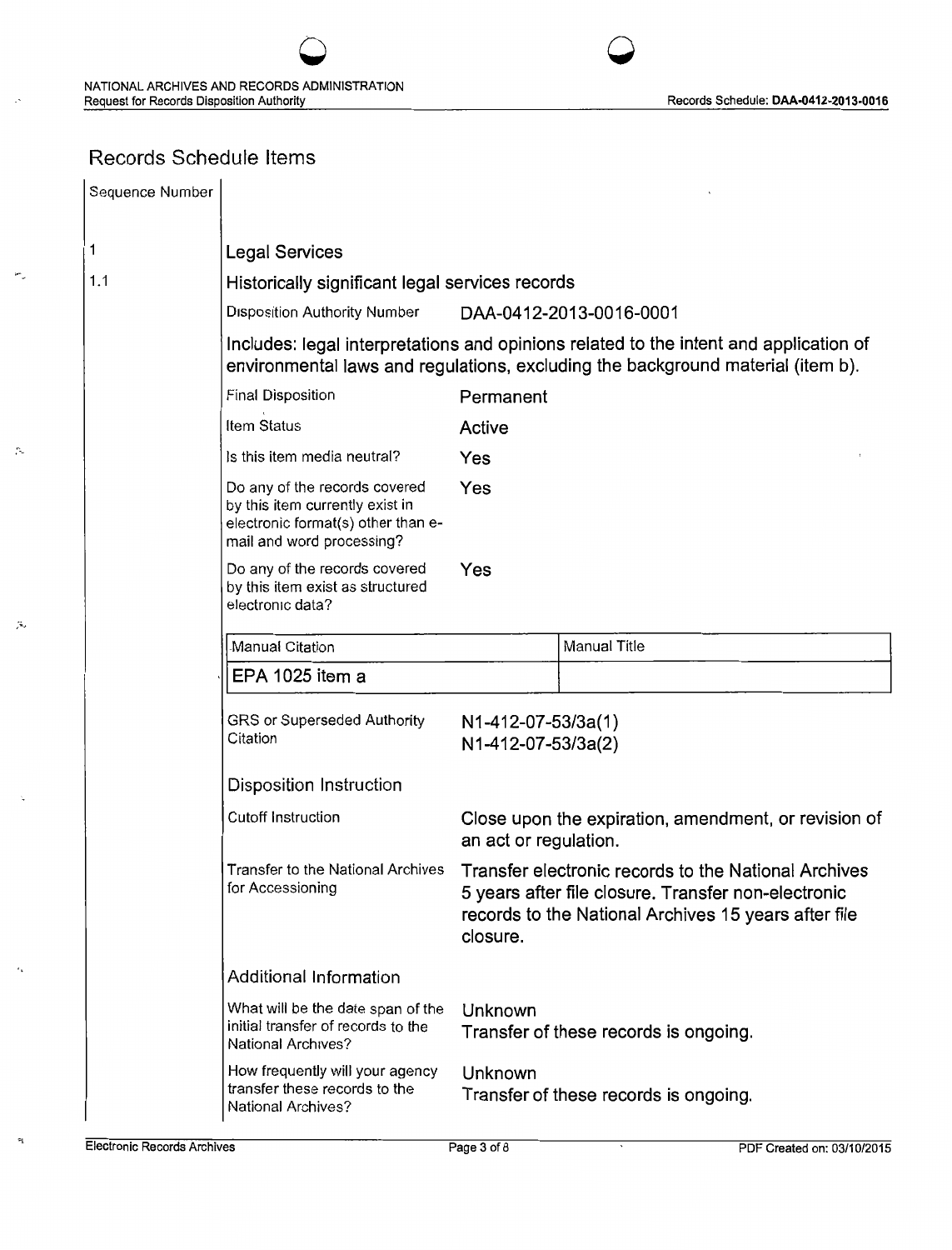## Records Schedule Items

 $\sim$ 

 $\mathcal{Z}$ 

 $\tilde{\mathcal{A}}_s$ 

 $\mathfrak{p}_1$ 

|    | Sequence Number |                                                                                                                                     |                                                                                                                                                                          |                                                                                                                                                                                                        |  |
|----|-----------------|-------------------------------------------------------------------------------------------------------------------------------------|--------------------------------------------------------------------------------------------------------------------------------------------------------------------------|--------------------------------------------------------------------------------------------------------------------------------------------------------------------------------------------------------|--|
|    |                 | <b>Legal Services</b>                                                                                                               |                                                                                                                                                                          |                                                                                                                                                                                                        |  |
|    | 1.1             | Historically significant legal services records                                                                                     |                                                                                                                                                                          |                                                                                                                                                                                                        |  |
|    |                 | <b>Disposition Authority Number</b>                                                                                                 |                                                                                                                                                                          | DAA-0412-2013-0016-0001                                                                                                                                                                                |  |
|    |                 |                                                                                                                                     | Includes: legal interpretations and opinions related to the intent and application of<br>environmental laws and regulations, excluding the background material (item b). |                                                                                                                                                                                                        |  |
|    |                 | Final Disposition                                                                                                                   | Permanent                                                                                                                                                                |                                                                                                                                                                                                        |  |
|    |                 | Item Status                                                                                                                         | Active                                                                                                                                                                   |                                                                                                                                                                                                        |  |
|    |                 | Is this item media neutral?                                                                                                         | Yes                                                                                                                                                                      |                                                                                                                                                                                                        |  |
|    |                 | Do any of the records covered<br>by this item currently exist in<br>electronic format(s) other than e-<br>mail and word processing? | Yes                                                                                                                                                                      |                                                                                                                                                                                                        |  |
|    |                 | Do any of the records covered<br>by this item exist as structured<br>electronic data?                                               | Yes                                                                                                                                                                      |                                                                                                                                                                                                        |  |
|    |                 | Manual Citation                                                                                                                     |                                                                                                                                                                          | <b>Manual Title</b>                                                                                                                                                                                    |  |
|    |                 | EPA 1025 item a                                                                                                                     |                                                                                                                                                                          |                                                                                                                                                                                                        |  |
|    |                 | GRS or Superseded Authority<br>Citation                                                                                             | N1-412-07-53/3a(1)<br>N1-412-07-53/3a(2)                                                                                                                                 |                                                                                                                                                                                                        |  |
|    |                 | Disposition Instruction                                                                                                             |                                                                                                                                                                          |                                                                                                                                                                                                        |  |
| ۰. |                 | Cutoff Instruction                                                                                                                  | an act or regulation.                                                                                                                                                    | Close upon the expiration, amendment, or revision of                                                                                                                                                   |  |
|    |                 | for Accessioning                                                                                                                    | closure.                                                                                                                                                                 | Transfer to the National Archives  Transfer electronic records to the National Archives<br>5 years after file closure. Transfer non-electronic<br>records to the National Archives 15 years after file |  |
|    |                 | Additional Information                                                                                                              |                                                                                                                                                                          |                                                                                                                                                                                                        |  |
|    |                 | What will be the date span of the<br>initial transfer of records to the<br>National Archives?                                       | Unknown                                                                                                                                                                  | Transfer of these records is ongoing.                                                                                                                                                                  |  |
|    |                 | How frequently will your agency<br>transfer these records to the<br>National Archives?                                              | Unknown                                                                                                                                                                  | Transfer of these records is ongoing.                                                                                                                                                                  |  |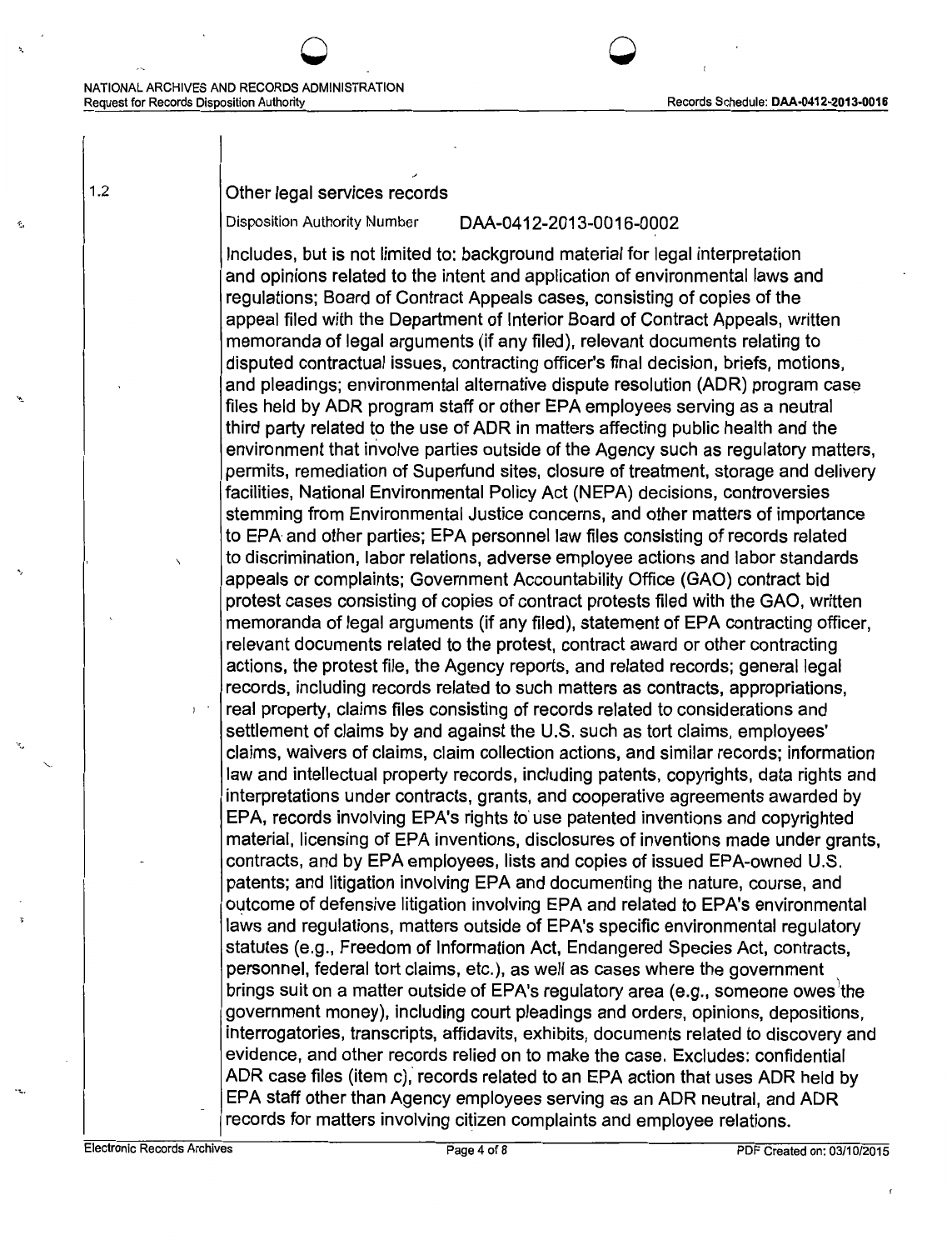# NATIONAL ARCHIVES AND RECORDS ADMINISTRATION<br>Request for Records Disposition Authority

### Records Schedule: DAA-0412-2013-0016

### 1.2 Other legal services records

'<sup>\*</sup> 0 0 0 0

### Disposition Authority Number DAA-0412-2013-0016-0002

Includes, but is not limited to: background material for legal interpretation and opinions related to the intent and application of environmental laws and regulations; Board of Contract Appeals cases, consisting of copies of the appeal filed with the Department of Interior Board of Contract Appeals, written memoranda of legal arguments (if any filed), relevant documents relating to disputed contractual issues, contracting officer's final decision, briefs, motions, and pleadings; environmental alternative dispute resolution (ADR) program case files held by ADR program staff or other EPA employees serving as a neutral third party related to the use of ADR in matters affecting public health and the environment that involve parties outside of the Agency such as regulatory matters, permits, remediation of Superfund sites, closure of treatment, storage and delivery facilities, National Environmental Policy Act (NEPA) decisions, controversies stemming from Environmental Justice concerns, and other matters of importance to EPA and other parties; EPA personnel law files consisting of records related to discrimination, labor relations, adverse employee actions and labor standards appeals or complaints; Government Accountability Office (GAO) contract bid protest cases consisting of copies of contract protests filed with the GAO, written memoranda of legal arguments (if any filed), statement of EPA contracting officer, relevant documents related to the protest, contract award or other contracting actions, the protest file, the Agency reports, and related records; general legal records, including records related to such matters as contracts, appropriations, real property, claims files consisting of records related to considerations and settlement of claims by and against the U.S. such as tort claims, employees' claims, waivers of claims, claim collection actions, and similar records; information law and intellectual property records, including patents, copyrights, data rights and interpretations under contracts, grants, and cooperative agreements awarded by EPA, records involving EPA's rights to' use patented inventions and copyrighted material, licensing of EPA inventions, disclosures of inventions made under grants, contracts, and by EPA employees, lists and copies of issued EPA-owned U.S. patents; and litigation involving EPA and documenting the nature, course, and outcome of defensive litigation involving EPA and related to EPA's environmental laws and regulations, matters outside of EPA's specific environmental regulatory statutes (e.g., Freedom of Information Act, Endangered Species Act, contracts, personnel, federal tort claims, etc.), as well as cases where the government .<br>brings suit on a matter outside of EPA's regulatory area (e.g., someone owes the government money), including court pleadings and orders, opinions, depositions, interrogatories, transcripts, affidavits, exhibits, documents related to discovery and evidence, and other records relied on to make the case. Excludes: confidential ADR case files (item c), records related to an EPA action that uses ADR held by EPA staff other than Agency employees serving as an ADR neutral, and ADR records for matters involving citizen complaints and employee relations.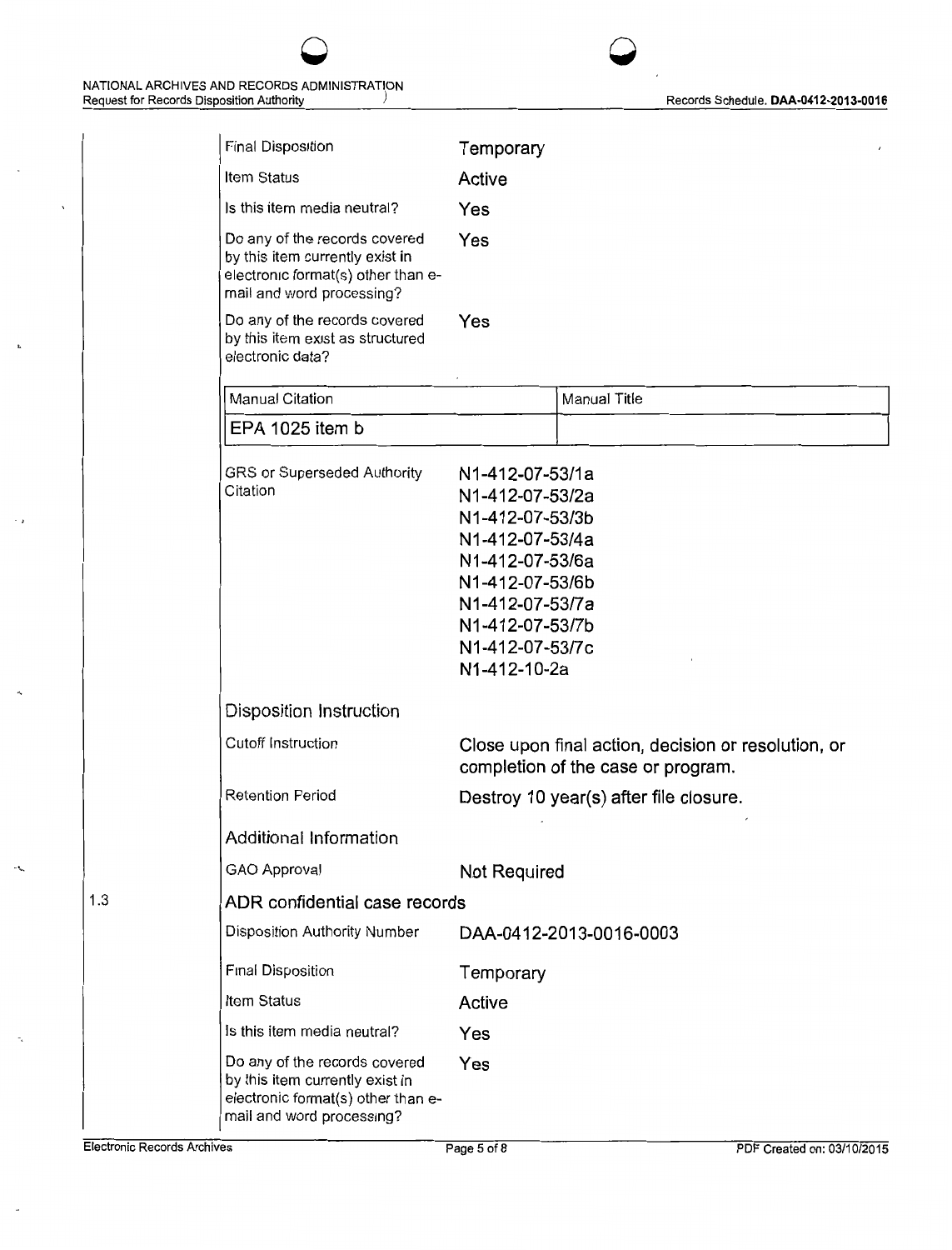

| <b>Final Disposition</b>                                                                                                            | Temporary                                                                                                                                                                               |                                                                                           |
|-------------------------------------------------------------------------------------------------------------------------------------|-----------------------------------------------------------------------------------------------------------------------------------------------------------------------------------------|-------------------------------------------------------------------------------------------|
| Item Status                                                                                                                         | Active                                                                                                                                                                                  |                                                                                           |
| Is this item media neutral?                                                                                                         | Yes                                                                                                                                                                                     |                                                                                           |
| Do any of the records covered<br>by this item currently exist in<br>electronic format(s) other than e-<br>mail and word processing? | Yes                                                                                                                                                                                     |                                                                                           |
| Do any of the records covered<br>by this item exist as structured<br>electronic data?                                               | Yes                                                                                                                                                                                     |                                                                                           |
| Manual Citation                                                                                                                     |                                                                                                                                                                                         | Manual Title                                                                              |
| EPA 1025 item b                                                                                                                     |                                                                                                                                                                                         |                                                                                           |
| GRS or Superseded Authority<br>Citation                                                                                             | N1-412-07-53/1a<br>N1-412-07-53/2a<br>N1-412-07-53/3b<br>N1-412-07-53/4a<br>N1-412-07-53/6a<br>N1-412-07-53/6b<br>N1-412-07-53/7a<br>N1-412-07-53/7b<br>N1-412-07-53/7c<br>N1-412-10-2a |                                                                                           |
| Disposition Instruction                                                                                                             |                                                                                                                                                                                         |                                                                                           |
| <b>Cutoff Instruction</b>                                                                                                           |                                                                                                                                                                                         | Close upon final action, decision or resolution, or<br>completion of the case or program. |
| <b>Retention Period</b>                                                                                                             | Destroy 10 year(s) after file closure.                                                                                                                                                  |                                                                                           |
| Additional Information                                                                                                              |                                                                                                                                                                                         |                                                                                           |
| GAO Approval                                                                                                                        | <b>Not Required</b>                                                                                                                                                                     |                                                                                           |
| ADR confidential case records                                                                                                       |                                                                                                                                                                                         |                                                                                           |
| Disposition Authority Number                                                                                                        | DAA-0412-2013-0016-0003                                                                                                                                                                 |                                                                                           |
| Final Disposition                                                                                                                   | Temporary                                                                                                                                                                               |                                                                                           |
| Item Status                                                                                                                         | Active                                                                                                                                                                                  |                                                                                           |
| Is this item media neutral?                                                                                                         | Yes                                                                                                                                                                                     |                                                                                           |
| Do any of the records covered<br>by this item currently exist in<br>electronic format(s) other than e-<br>mail and word processing? | Yes                                                                                                                                                                                     |                                                                                           |

-·

 $\mathbf{r}_i$ 

 $\sim$   $\,$ 

1.3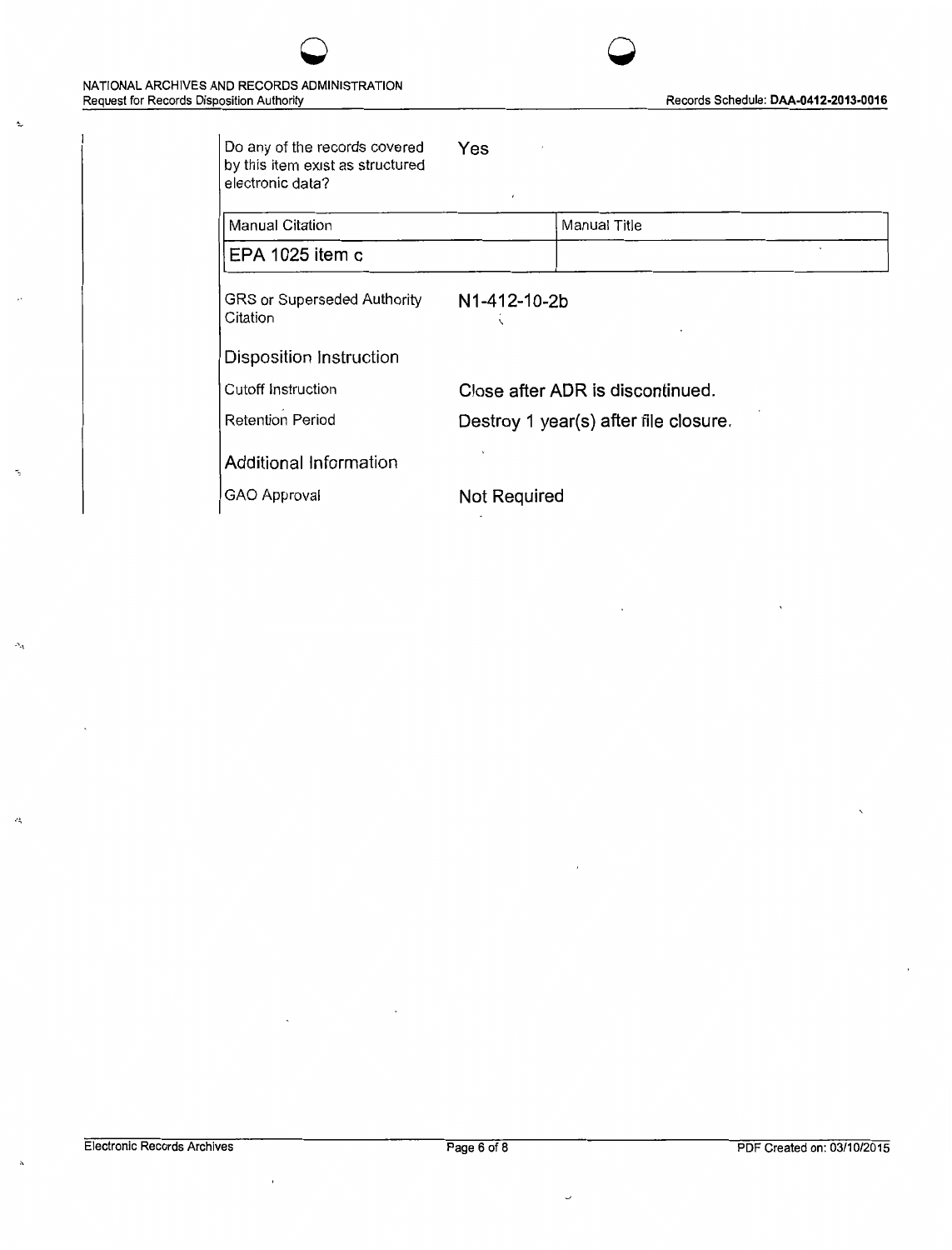Ą.

 $\Delta_{\rm d}$ 

 $\mathcal{L}_{\mathbf{q}}^{\perp}$ 



| Do any of the records covered<br>by this item exist as structured<br>electronic data? | Yes<br>$\pmb{\cdot}$                  |  |
|---------------------------------------------------------------------------------------|---------------------------------------|--|
| Manual Citation                                                                       | Manual Title                          |  |
| EPA 1025 item c                                                                       |                                       |  |
| GRS or Superseded Authority<br>Citation                                               | N1-412-10-2b                          |  |
| Disposition Instruction                                                               |                                       |  |
| Cutoff Instruction                                                                    | Close after ADR is discontinued.      |  |
| <b>Retention Period</b>                                                               | Destroy 1 year(s) after file closure. |  |
| Additional Information                                                                |                                       |  |
| GAO Approval                                                                          | <b>Not Required</b>                   |  |

 $\bar{1}$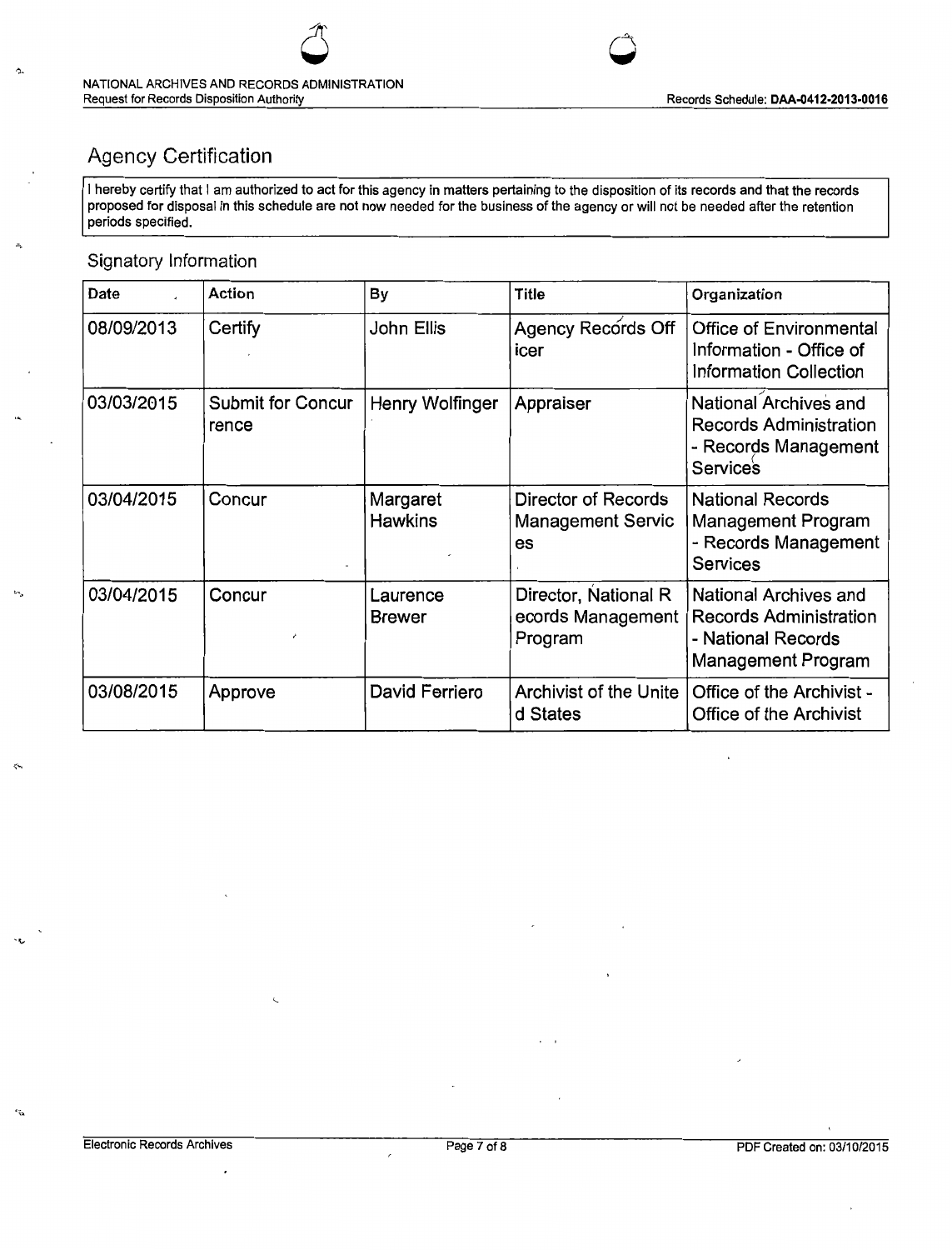

# Agency Certification

I hereby certify that I am authorized to act for this agency in matters pertaining to the disposition of its records and that the records proposed for disposal in this schedule are not now needed for the business of the agency or will not be needed after the retention periods specified.

### Signatory Information

ъч.

 $\leftrightarrow$ 

 $\ddot{x}$ 

| Date       | Action                            | By                         | <b>Title</b>                                          | Organization                                                                                       |
|------------|-----------------------------------|----------------------------|-------------------------------------------------------|----------------------------------------------------------------------------------------------------|
| 08/09/2013 | Certify                           | John Ellis                 | Agency Records Off<br>icer                            | <b>Office of Environmental</b><br>Information - Office of<br><b>Information Collection</b>         |
| 03/03/2015 | <b>Submit for Concur</b><br>rence | Henry Wolfinger            | Appraiser                                             | National Archives and<br><b>Records Administration</b><br>- Records Management<br><b>Services</b>  |
| 03/04/2015 | Concur                            | Margaret<br><b>Hawkins</b> | Director of Records<br><b>Management Servic</b><br>es | <b>National Records</b><br>Management Program<br>- Records Management<br><b>Services</b>           |
| 03/04/2015 | Concur                            | Laurence<br><b>Brewer</b>  | Director, National R<br>ecords Management<br>Program  | National Archives and<br><b>Records Administration</b><br>- National Records<br>Management Program |
| 03/08/2015 | Approve                           | David Ferriero             | Archivist of the Unite<br>d States                    | Office of the Archivist -<br><b>Office of the Archivist</b>                                        |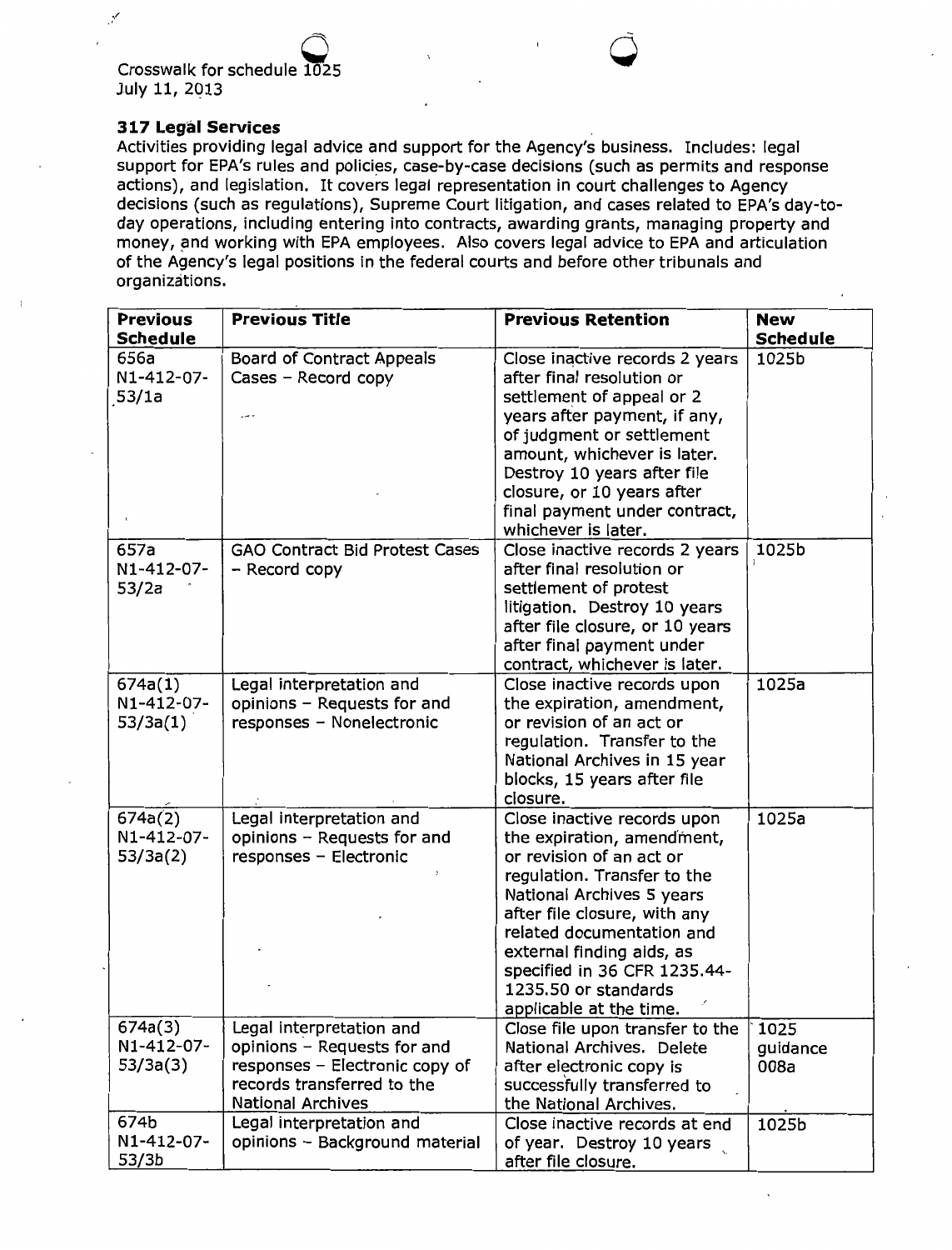Crosswalk for schedule  $1025$ <sup>1025</sup>**0** July 11, 2013

### **317 Legal Services**

Activities providing legal advice and support for the Agency's business. Includes: legal support for EPA's rules and policies, case-by-case decisions (such as permits and response actions), and legislation. It covers legal representation in court challenges to Agency decisions (such as regulations), Supreme Court litigation, and cases related to EPA's day-today operations, including entering into contracts, awarding grants, managing property and money, and working with EPA employees. Also covers legal advice to EPA and articulation of the Agency's legal positions in the federal courts and before other tribunals and organizations.

| <b>Previous</b><br><b>Schedule</b> | <b>Previous Title</b>                                                                                                                               | <b>Previous Retention</b>                                                                                                                                                                                                                                                                                                      | <b>New</b><br><b>Schedule</b> |
|------------------------------------|-----------------------------------------------------------------------------------------------------------------------------------------------------|--------------------------------------------------------------------------------------------------------------------------------------------------------------------------------------------------------------------------------------------------------------------------------------------------------------------------------|-------------------------------|
| 656a<br>N1-412-07-<br>53/1a        | <b>Board of Contract Appeals</b><br>Cases - Record copy                                                                                             | Close inactive records 2 years<br>after final resolution or<br>settlement of appeal or 2<br>years after payment, if any,<br>of judgment or settlement<br>amount, whichever is later.<br>Destroy 10 years after file<br>closure, or 10 years after<br>final payment under contract,<br>whichever is later.                      | 1025b                         |
| 657a<br>N1-412-07-<br>53/2a        | <b>GAO Contract Bid Protest Cases</b><br>- Record copy                                                                                              | Close inactive records 2 years<br>after final resolution or<br>settlement of protest<br>litigation. Destroy 10 years<br>after file closure, or 10 years<br>after final payment under<br>contract, whichever is later.                                                                                                          | 1025b                         |
| 674a(1)<br>N1-412-07-<br>53/3a(1)  | Legal interpretation and<br>opinions - Requests for and<br>responses - Nonelectronic                                                                | Close inactive records upon<br>the expiration, amendment,<br>or revision of an act or<br>regulation. Transfer to the<br>National Archives in 15 year<br>blocks, 15 years after file<br>closure.                                                                                                                                | 1025a                         |
| 674a(2)<br>N1-412-07-<br>53/3a(2)  | Legal interpretation and<br>opinions - Requests for and<br>responses - Electronic                                                                   | Close inactive records upon<br>the expiration, amendment,<br>or revision of an act or<br>regulation. Transfer to the<br>National Archives 5 years<br>after file closure, with any<br>related documentation and<br>external finding aids, as<br>specified in 36 CFR 1235.44-<br>1235.50 or standards<br>applicable at the time. | 1025a                         |
| 674a(3)<br>N1-412-07-<br>53/3a(3)  | Legal interpretation and<br>opinions - Requests for and<br>responses - Electronic copy of<br>records transferred to the<br><b>National Archives</b> | Close file upon transfer to the<br>National Archives. Delete<br>after electronic copy is<br>successfully transferred to<br>the National Archives.                                                                                                                                                                              | 1025<br>guidance<br>008a      |
| 674b<br>N1-412-07-<br>53/3b        | Legal interpretation and<br>opinions - Background material                                                                                          | Close inactive records at end<br>of year. Destroy 10 years<br>after file closure.                                                                                                                                                                                                                                              | 1025b                         |